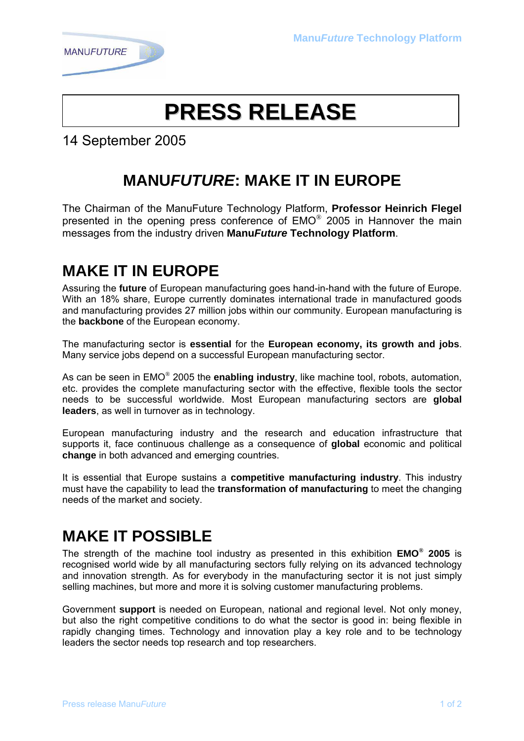

# **PRESS RELEASE**

14 September 2005

## **MANUFUTURE: MAKE IT IN EUROPE**

The Chairman of the ManuFuture Technology Platform, **Professor Heinrich Flegel** presented in the opening press conference of EMO® 2005 in Hannover the main messages from the industry driven **ManuFuture Technology Platform**.

### **MAKE IT IN EUROPE**

Assuring the **future** of European manufacturing goes hand-in-hand with the future of Europe. With an 18% share, Europe currently dominates international trade in manufactured goods and manufacturing provides 27 million jobs within our community. European manufacturing is the **backbone** of the European economy.

The manufacturing sector is **essential** for the **European economy, its growth and jobs**. Many service jobs depend on a successful European manufacturing sector.

As can be seen in EMO® 2005 the **enabling industry**, like machine tool, robots, automation, etc. provides the complete manufacturing sector with the effective, flexible tools the sector needs to be successful worldwide. Most European manufacturing sectors are **global leaders**, as well in turnover as in technology.

European manufacturing industry and the research and education infrastructure that supports it, face continuous challenge as a consequence of **global** economic and political **change** in both advanced and emerging countries.

It is essential that Europe sustains a **competitive manufacturing industry**. This industry must have the capability to lead the **transformation of manufacturing** to meet the changing needs of the market and society.

### **MAKE IT POSSIBLE**

The strength of the machine tool industry as presented in this exhibition **EMO® 2005** is recognised world wide by all manufacturing sectors fully relying on its advanced technology and innovation strength. As for everybody in the manufacturing sector it is not just simply selling machines, but more and more it is solving customer manufacturing problems.

Government **support** is needed on European, national and regional level. Not only money, but also the right competitive conditions to do what the sector is good in: being flexible in rapidly changing times. Technology and innovation play a key role and to be technology leaders the sector needs top research and top researchers.